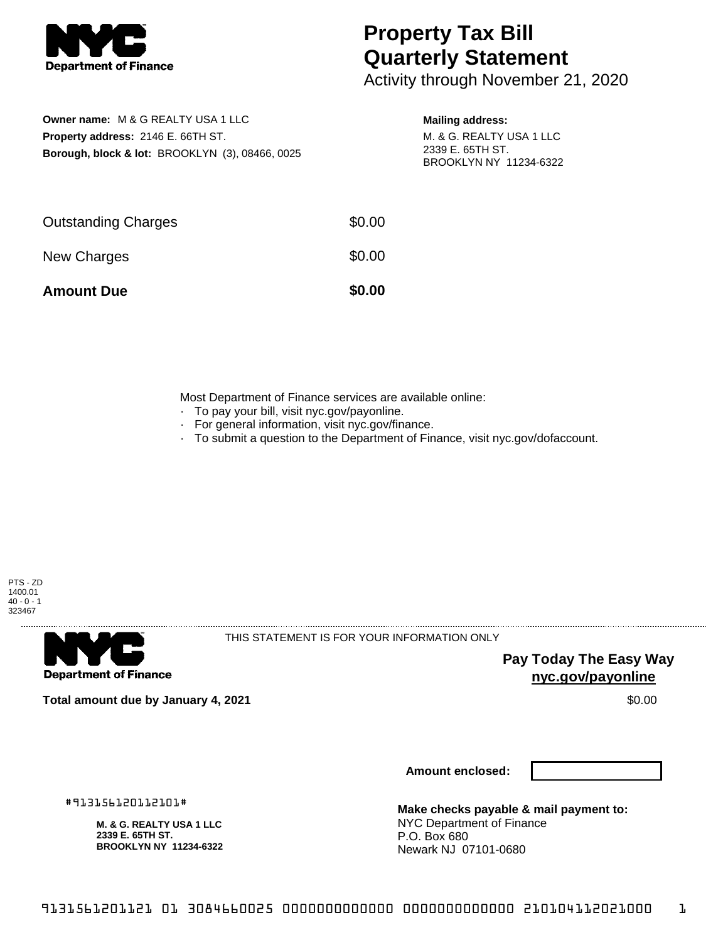

## **Property Tax Bill Quarterly Statement**

Activity through November 21, 2020

|                                           | <b>Owner name: M &amp; G REALTY USA 1 LLC</b>              |  |  |  |  |
|-------------------------------------------|------------------------------------------------------------|--|--|--|--|
| <b>Property address: 2146 E. 66TH ST.</b> |                                                            |  |  |  |  |
|                                           | <b>Borough, block &amp; lot: BROOKLYN (3), 08466, 0025</b> |  |  |  |  |

## **Mailing address:**

M. & G. REALTY USA 1 LLC 2339 E. 65TH ST. BROOKLYN NY 11234-6322

| <b>Amount Due</b>          | \$0.00 |
|----------------------------|--------|
| New Charges                | \$0.00 |
| <b>Outstanding Charges</b> | \$0.00 |

Most Department of Finance services are available online:

- · To pay your bill, visit nyc.gov/payonline.
- For general information, visit nyc.gov/finance.
- · To submit a question to the Department of Finance, visit nyc.gov/dofaccount.



. . . . . . . . . . . . . . . .

**Department of Finance** 

THIS STATEMENT IS FOR YOUR INFORMATION ONLY

**Pay Today The Easy Way nyc.gov/payonline**

**Total amount due by January 4, 2021** \$0.00

**Amount enclosed:**

#913156120112101#

**M. & G. REALTY USA 1 LLC 2339 E. 65TH ST. BROOKLYN NY 11234-6322**

**Make checks payable & mail payment to:** NYC Department of Finance P.O. Box 680 Newark NJ 07101-0680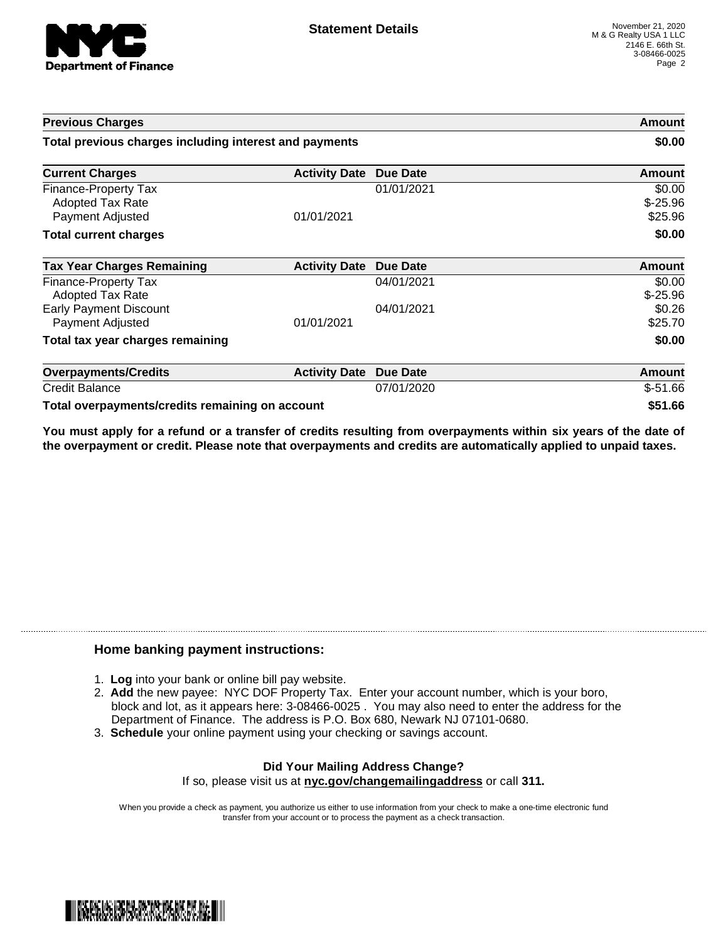

| <b>Previous Charges</b><br>Total previous charges including interest and payments |                      |                 | Amount<br>\$0.00               |
|-----------------------------------------------------------------------------------|----------------------|-----------------|--------------------------------|
|                                                                                   |                      |                 |                                |
| Finance-Property Tax<br><b>Adopted Tax Rate</b><br>Payment Adjusted               | 01/01/2021           | 01/01/2021      | \$0.00<br>$$-25.96$<br>\$25.96 |
| <b>Total current charges</b>                                                      |                      |                 | \$0.00                         |
| <b>Tax Year Charges Remaining</b>                                                 | <b>Activity Date</b> | Due Date        | <b>Amount</b>                  |
| <b>Finance-Property Tax</b><br><b>Adopted Tax Rate</b>                            |                      | 04/01/2021      | \$0.00<br>$$-25.96$            |
| <b>Early Payment Discount</b><br>Payment Adjusted                                 | 01/01/2021           | 04/01/2021      | \$0.26<br>\$25.70              |
| Total tax year charges remaining                                                  |                      |                 | \$0.00                         |
| <b>Overpayments/Credits</b>                                                       | <b>Activity Date</b> | <b>Due Date</b> | <b>Amount</b>                  |
| <b>Credit Balance</b>                                                             |                      | 07/01/2020      | $$-51.66$                      |
| Total overpayments/credits remaining on account                                   |                      |                 | \$51.66                        |

You must apply for a refund or a transfer of credits resulting from overpayments within six years of the date of **the overpayment or credit. Please note that overpayments and credits are automatically applied to unpaid taxes.**

## **Home banking payment instructions:**

- 1. **Log** into your bank or online bill pay website.
- 2. **Add** the new payee: NYC DOF Property Tax. Enter your account number, which is your boro, block and lot, as it appears here: 3-08466-0025 . You may also need to enter the address for the Department of Finance. The address is P.O. Box 680, Newark NJ 07101-0680.
- 3. **Schedule** your online payment using your checking or savings account.

## **Did Your Mailing Address Change?** If so, please visit us at **nyc.gov/changemailingaddress** or call **311.**

When you provide a check as payment, you authorize us either to use information from your check to make a one-time electronic fund transfer from your account or to process the payment as a check transaction.